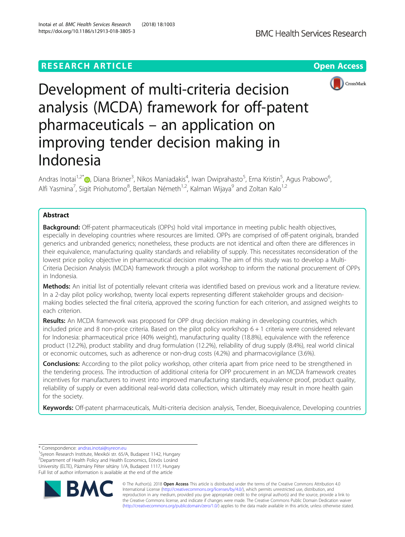# **RESEARCH ARTICLE Example 2014 12:30 The Contract of Contract ACCESS**

Development of multi-criteria decision analysis (MCDA) framework for off-patent pharmaceuticals – an application on improving tender decision making in Indonesia

Andras Inotai<sup>1[,](http://orcid.org/0000-0002-0663-2733)2\*</sup>®, Diana Brixner<sup>3</sup>, Nikos Maniadakis<sup>4</sup>, Iwan Dwiprahasto<sup>5</sup>, Erna Kristin<sup>5</sup>, Agus Prabowo<sup>6</sup> י<br>, Alfi Yasmina<sup>7</sup>, Sigit Priohutomo<sup>8</sup>, Bertalan Németh<sup>1,2</sup>, Kalman Wijaya<sup>9</sup> and Zoltan Kalo<sup>1,2</sup>

## Abstract

**Background:** Off-patent pharmaceuticals (OPPs) hold vital importance in meeting public health objectives, especially in developing countries where resources are limited. OPPs are comprised of off-patent originals, branded generics and unbranded generics; nonetheless, these products are not identical and often there are differences in their equivalence, manufacturing quality standards and reliability of supply. This necessitates reconsideration of the lowest price policy objective in pharmaceutical decision making. The aim of this study was to develop a Multi-Criteria Decision Analysis (MCDA) framework through a pilot workshop to inform the national procurement of OPPs in Indonesia.

Methods: An initial list of potentially relevant criteria was identified based on previous work and a literature review. In a 2-day pilot policy workshop, twenty local experts representing different stakeholder groups and decisionmaking bodies selected the final criteria, approved the scoring function for each criterion, and assigned weights to each criterion.

Results: An MCDA framework was proposed for OPP drug decision making in developing countries, which included price and 8 non-price criteria. Based on the pilot policy workshop 6 + 1 criteria were considered relevant for Indonesia: pharmaceutical price (40% weight), manufacturing quality (18.8%), equivalence with the reference product (12.2%), product stability and drug formulation (12.2%), reliability of drug supply (8.4%), real world clinical or economic outcomes, such as adherence or non-drug costs (4.2%) and pharmacovigilance (3.6%).

Conclusions: According to the pilot policy workshop, other criteria apart from price need to be strengthened in the tendering process. The introduction of additional criteria for OPP procurement in an MCDA framework creates incentives for manufacturers to invest into improved manufacturing standards, equivalence proof, product quality, reliability of supply or even additional real-world data collection, which ultimately may result in more health gain for the society.

Keywords: Off-patent pharmaceuticals, Multi-criteria decision analysis, Tender, Bioequivalence, Developing countries

<sup>&</sup>lt;sup>1</sup>Syreon Research Institute, Mexikói str. 65/A, Budapest 1142, Hungary 2 Department of Health Policy and Health Economics, Eötvös Loránd University (ELTE), Pázmány Péter sétány 1/A, Budapest 1117, Hungary Full list of author information is available at the end of the article



© The Author(s). 2018 Open Access This article is distributed under the terms of the Creative Commons Attribution 4.0 International License [\(http://creativecommons.org/licenses/by/4.0/](http://creativecommons.org/licenses/by/4.0/)), which permits unrestricted use, distribution, and reproduction in any medium, provided you give appropriate credit to the original author(s) and the source, provide a link to the Creative Commons license, and indicate if changes were made. The Creative Commons Public Domain Dedication waiver [\(http://creativecommons.org/publicdomain/zero/1.0/](http://creativecommons.org/publicdomain/zero/1.0/)) applies to the data made available in this article, unless otherwise stated.





<sup>\*</sup> Correspondence: [andras.inotai@syreon.eu](mailto:andras.inotai@syreon.eu) <sup>1</sup>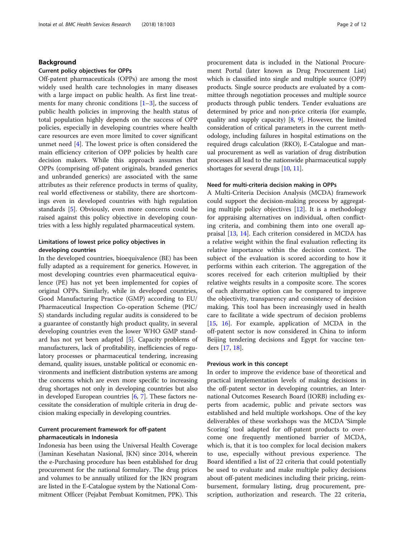## Background

#### Current policy objectives for OPPs

Off-patent pharmaceuticals (OPPs) are among the most widely used health care technologies in many diseases with a large impact on public health. As first line treatments for many chronic conditions  $[1-3]$  $[1-3]$  $[1-3]$  $[1-3]$ , the success of public health policies in improving the health status of total population highly depends on the success of OPP policies, especially in developing countries where health care resources are even more limited to cover significant unmet need [[4\]](#page-11-0). The lowest price is often considered the main efficiency criterion of OPP policies by health care decision makers. While this approach assumes that OPPs (comprising off-patent originals, branded generics and unbranded generics) are associated with the same attributes as their reference products in terms of quality, real world effectiveness or stability, there are shortcomings even in developed countries with high regulation standards [\[5](#page-11-0)]. Obviously, even more concerns could be raised against this policy objective in developing countries with a less highly regulated pharmaceutical system.

## Limitations of lowest price policy objectives in developing countries

In the developed countries, bioequivalence (BE) has been fully adapted as a requirement for generics. However, in most developing countries even pharmaceutical equivalence (PE) has not yet been implemented for copies of original OPPs. Similarly, while in developed countries, Good Manufacturing Practice (GMP) according to EU/ Pharmaceutical Inspection Co-operation Scheme (PIC/ S) standards including regular audits is considered to be a guarantee of constantly high product quality, in several developing countries even the lower WHO GMP standard has not yet been adapted [[5\]](#page-11-0). Capacity problems of manufacturers, lack of profitability, inefficiencies of regulatory processes or pharmaceutical tendering, increasing demand, quality issues, unstable political or economic environments and inefficient distribution systems are among the concerns which are even more specific to increasing drug shortages not only in developing countries but also in developed European countries  $[6, 7]$  $[6, 7]$  $[6, 7]$  $[6, 7]$ . These factors necessitate the consideration of multiple criteria in drug decision making especially in developing countries.

## Current procurement framework for off-patent pharmaceuticals in Indonesia

Indonesia has been using the Universal Health Coverage (Jaminan Kesehatan Nasional, JKN) since 2014, wherein the e-Purchasing procedure has been established for drug procurement for the national formulary. The drug prices and volumes to be annually utilized for the JKN program are listed in the E-Catalogue system by the National Commitment Officer (Pejabat Pembuat Komitmen, PPK). This procurement data is included in the National Procurement Portal (later known as Drug Procurement List) which is classified into single and multiple source (OPP) products. Single source products are evaluated by a committee through negotiation processes and multiple source products through public tenders. Tender evaluations are determined by price and non-price criteria (for example, quality and supply capacity)  $[8, 9]$  $[8, 9]$  $[8, 9]$  $[8, 9]$ . However, the limited consideration of critical parameters in the current methodology, including failures in hospital estimations on the required drugs calculation (RKO), E-Catalogue and manual procurement as well as variation of drug distribution processes all lead to the nationwide pharmaceutical supply shortages for several drugs [[10](#page-11-0), [11\]](#page-11-0).

## Need for multi-criteria decision making in OPPs

A Multi-Criteria Decision Analysis (MCDA) framework could support the decision-making process by aggregating multiple policy objectives [[12\]](#page-11-0). It is a methodology for appraising alternatives on individual, often conflicting criteria, and combining them into one overall appraisal [[13,](#page-11-0) [14\]](#page-11-0). Each criterion considered in MCDA has a relative weight within the final evaluation reflecting its relative importance within the decision context. The subject of the evaluation is scored according to how it performs within each criterion. The aggregation of the scores received for each criterion multiplied by their relative weights results in a composite score. The scores of each alternative option can be compared to improve the objectivity, transparency and consistency of decision making. This tool has been increasingly used in health care to facilitate a wide spectrum of decision problems [[15,](#page-11-0) [16\]](#page-11-0). For example, application of MCDA in the off-patent sector is now considered in China to inform Beijing tendering decisions and Egypt for vaccine tenders [[17,](#page-11-0) [18\]](#page-11-0).

#### Previous work in this concept

In order to improve the evidence base of theoretical and practical implementation levels of making decisions in the off-patent sector in developing countries, an International Outcomes Research Board (IORB) including experts from academic, public and private sectors was established and held multiple workshops. One of the key deliverables of these workshops was the MCDA 'Simple Scoring' tool adapted for off-patent products to overcome one frequently mentioned barrier of MCDA, which is, that it is too complex for local decision makers to use, especially without previous experience. The Board identified a list of 22 criteria that could potentially be used to evaluate and make multiple policy decisions about off-patent medicines including their pricing, reimbursement, formulary listing, drug procurement, prescription, authorization and research. The 22 criteria,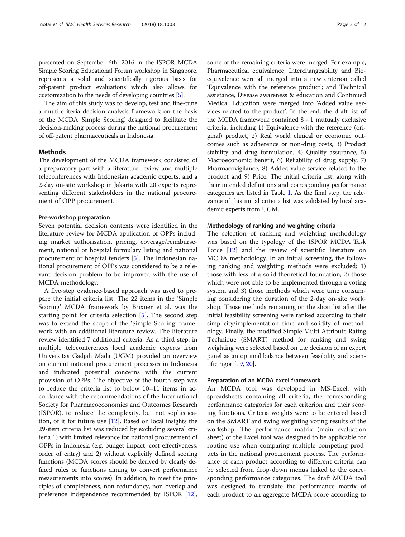presented on September 6th, 2016 in the ISPOR MCDA Simple Scoring Educational Forum workshop in Singapore, represents a solid and scientifically rigorous basis for off-patent product evaluations which also allows for customization to the needs of developing countries [[5\]](#page-11-0).

The aim of this study was to develop, test and fine-tune a multi-criteria decision analysis framework on the basis of the MCDA 'Simple Scoring', designed to facilitate the decision-making process during the national procurement of off-patent pharmaceuticals in Indonesia.

## Methods

The development of the MCDA framework consisted of a preparatory part with a literature review and multiple teleconferences with Indonesian academic experts, and a 2-day on-site workshop in Jakarta with 20 experts representing different stakeholders in the national procurement of OPP procurement.

## Pre-workshop preparation

Seven potential decision contexts were identified in the literature review for MCDA application of OPPs including market authorisation, pricing, coverage/reimbursement, national or hospital formulary listing and national procurement or hospital tenders [\[5](#page-11-0)]. The Indonesian national procurement of OPPs was considered to be a relevant decision problem to be improved with the use of MCDA methodology.

A five-step evidence-based approach was used to prepare the initial criteria list. The 22 items in the 'Simple Scoring' MCDA framework by Brixner et al. was the starting point for criteria selection [[5\]](#page-11-0). The second step was to extend the scope of the 'Simple Scoring' framework with an additional literature review. The literature review identified 7 additional criteria. As a third step, in multiple teleconferences local academic experts from Universitas Gadjah Mada (UGM) provided an overview on current national procurement processes in Indonesia and indicated potential concerns with the current provision of OPPs. The objective of the fourth step was to reduce the criteria list to below 10–11 items in accordance with the recommendations of the International Society for Pharmacoeconomics and Outcomes Research (ISPOR), to reduce the complexity, but not sophistication, of it for future use [\[12\]](#page-11-0). Based on local insights the 29-item criteria list was reduced by excluding several criteria 1) with limited relevance for national procurement of OPPs in Indonesia (e.g. budget impact, cost effectiveness, order of entry) and 2) without explicitly defined scoring functions (MCDA scores should be derived by clearly defined rules or functions aiming to convert performance measurements into scores). In addition, to meet the principles of completeness, non-redundancy, non-overlap and preference independence recommended by ISPOR [[12](#page-11-0)],

some of the remaining criteria were merged. For example, Pharmaceutical equivalence, Interchangeability and Bioequivalence were all merged into a new criterion called 'Equivalence with the reference product'; and Technical assistance, Disease awareness & education and Continued Medical Education were merged into 'Added value services related to the product'. In the end, the draft list of the MCDA framework contained  $8 + 1$  mutually exclusive criteria, including 1) Equivalence with the reference (original) product, 2) Real world clinical or economic outcomes such as adherence or non-drug costs, 3) Product stability and drug formulation, 4) Quality assurance, 5) Macroeconomic benefit, 6) Reliability of drug supply, 7) Pharmacovigilance, 8) Added value service related to the product and 9) Price. The initial criteria list, along with their intended definitions and corresponding performance categories are listed in Table [1.](#page-3-0) As the final step, the relevance of this initial criteria list was validated by local academic experts from UGM.

#### Methodology of ranking and weighting criteria

The selection of ranking and weighting methodology was based on the typology of the ISPOR MCDA Task Force [[12\]](#page-11-0) and the review of scientific literature on MCDA methodology. In an initial screening, the following ranking and weighting methods were excluded: 1) those with less of a solid theoretical foundation, 2) those which were not able to be implemented through a voting system and 3) those methods which were time consuming considering the duration of the 2-day on-site workshop. Those methods remaining on the short list after the initial feasibility screening were ranked according to their simplicity/implementation time and solidity of methodology. Finally, the modified Simple Multi-Attribute Rating Technique (SMART) method for ranking and swing weighting were selected based on the decision of an expert panel as an optimal balance between feasibility and scientific rigor [\[19](#page-11-0), [20](#page-11-0)].

#### Preparation of an MCDA excel framework

An MCDA tool was developed in MS-Excel, with spreadsheets containing all criteria, the corresponding performance categories for each criterion and their scoring functions. Criteria weights were to be entered based on the SMART and swing weighting voting results of the workshop. The performance matrix (main evaluation sheet) of the Excel tool was designed to be applicable for routine use when comparing multiple competing products in the national procurement process. The performance of each product according to different criteria can be selected from drop-down menus linked to the corresponding performance categories. The draft MCDA tool was designed to translate the performance matrix of each product to an aggregate MCDA score according to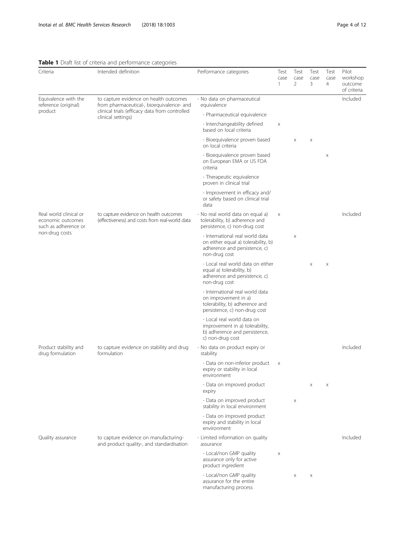## <span id="page-3-0"></span>Table 1 Draft list of criteria and performance categories

| Criteria                                                            | Intended definition                                                                      | Performance categories                                                                                                     | Test<br>case<br>1              | Test<br>case<br>2 | Test<br>case<br>3 | Test<br>case<br>4 | Pilot<br>workshop<br>outcome<br>of criteria |
|---------------------------------------------------------------------|------------------------------------------------------------------------------------------|----------------------------------------------------------------------------------------------------------------------------|--------------------------------|-------------------|-------------------|-------------------|---------------------------------------------|
| Equivalence with the<br>reference (original)                        | to capture evidence on health outcomes<br>from pharmaceutical-, bioequivalence- and      | - No data on pharmaceutical<br>equivalence                                                                                 |                                |                   |                   |                   | Included                                    |
| product                                                             | clinical trials (efficacy data from controlled<br>clinical settings)                     | - Pharmaceutical equivalence                                                                                               |                                |                   |                   |                   |                                             |
|                                                                     |                                                                                          | - Interchangeability defined<br>based on local criteria                                                                    | $\boldsymbol{\mathsf{X}}$      |                   |                   |                   |                                             |
|                                                                     |                                                                                          | - Bioequivalence proven based<br>on local criteria                                                                         |                                | X                 | X                 |                   |                                             |
|                                                                     |                                                                                          | - Bioequivalence proven based<br>on European EMA or US FDA<br>criteria                                                     |                                |                   |                   | X                 |                                             |
|                                                                     |                                                                                          | - Therapeutic equivalence<br>proven in clinical trial                                                                      |                                |                   |                   |                   |                                             |
|                                                                     |                                                                                          | - Improvement in efficacy and/<br>or safety based on clinical trial<br>data                                                |                                |                   |                   |                   |                                             |
| Real world clinical or<br>economic outcomes<br>such as adherence or | to capture evidence on health outcomes<br>(effectiveness) and costs from real-world data | - No real world data on equal a)<br>tolerability, b) adherence and<br>persistence, c) non-drug cost                        | $\boldsymbol{\mathsf{X}}$<br>X |                   |                   | Included          |                                             |
| non-drug costs                                                      |                                                                                          | - International real world data<br>on either equal a) tolerability, b)<br>adherence and persistence, c)<br>non-drug cost   |                                |                   |                   |                   |                                             |
|                                                                     |                                                                                          | - Local real world data on either<br>equal a) tolerability, b)<br>adherence and persistence, c)<br>non-drug cost           |                                |                   | X                 | X                 |                                             |
|                                                                     |                                                                                          | - International real world data<br>on improvement in a)<br>tolerability, b) adherence and<br>persistence, c) non-drug cost |                                |                   |                   |                   |                                             |
|                                                                     |                                                                                          | - Local real world data on<br>improvement in a) tolerability,<br>b) adherence and persistence,<br>c) non-drug cost         |                                |                   |                   |                   |                                             |
| Product stability and<br>drug formulation                           | to capture evidence on stability and drug<br>formulation                                 | - No data on product expiry or<br>stability                                                                                | X<br>X                         |                   |                   |                   | Included                                    |
|                                                                     |                                                                                          | - Data on non-inferior product<br>expiry or stability in local<br>environment                                              |                                |                   |                   |                   |                                             |
|                                                                     |                                                                                          | - Data on improved product<br>expiry                                                                                       |                                |                   | X                 | X                 |                                             |
|                                                                     |                                                                                          | - Data on improved product<br>stability in local environment                                                               |                                |                   |                   |                   |                                             |
|                                                                     |                                                                                          | - Data on improved product<br>expiry and stability in local<br>environment                                                 |                                |                   |                   |                   |                                             |
| Quality assurance                                                   | to capture evidence on manufacturing-<br>and product quality-, and standardisation       | - Limited information on quality<br>assurance                                                                              |                                |                   |                   |                   | Included                                    |
|                                                                     |                                                                                          | - Local/non GMP quality<br>assurance only for active<br>product ingredient                                                 | $\times$                       |                   |                   |                   |                                             |
|                                                                     |                                                                                          | - Local/non GMP quality<br>assurance for the entire<br>manufacturing process                                               |                                | X                 | X                 |                   |                                             |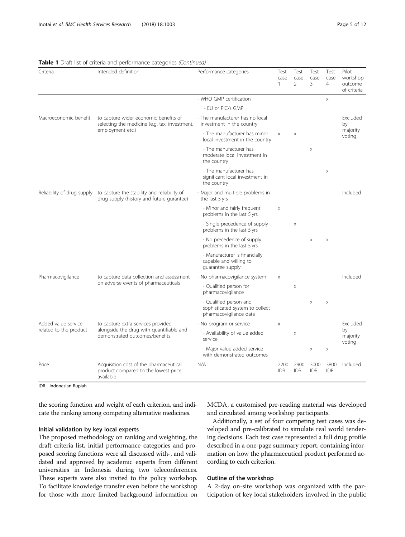|  |  |  | Table 1 Draft list of criteria and performance categories (Continued) |  |
|--|--|--|-----------------------------------------------------------------------|--|
|  |  |  |                                                                       |  |

| Criteria                   | Intended definition                                                                         | Performance categories                                                              | Test<br>case<br>1     | Test<br>case<br>$\overline{2}$ | Test<br>case<br>3  | Test<br>case<br>$\overline{4}$ | Pilot<br>workshop<br>outcome<br>of criteria |
|----------------------------|---------------------------------------------------------------------------------------------|-------------------------------------------------------------------------------------|-----------------------|--------------------------------|--------------------|--------------------------------|---------------------------------------------|
|                            |                                                                                             | - WHO GMP certification                                                             |                       |                                |                    | X                              |                                             |
|                            |                                                                                             | - EU or PIC/s GMP                                                                   |                       |                                |                    |                                |                                             |
| Macroeconomic benefit      | to capture wider economic benefits of<br>selecting the medicine (e.g. tax, investment,      | - The manufacturer has no local<br>investment in the country                        |                       |                                |                    |                                | Excluded<br>by                              |
|                            | employment etc.)                                                                            | - The manufacturer has minor<br>local investment in the country                     | X                     | $\times$                       |                    |                                | majority<br>voting                          |
|                            |                                                                                             | - The manufacturer has<br>moderate local investment in<br>the country               |                       |                                | Χ                  |                                |                                             |
|                            |                                                                                             | - The manufacturer has<br>significant local investment in<br>the country            |                       |                                |                    | X                              |                                             |
| Reliability of drug supply | to capture the stability and reliability of<br>drug supply (history and future gurantee)    | - Major and multiple problems in<br>the last 5 yrs                                  |                       |                                |                    |                                | Included                                    |
|                            |                                                                                             | - Minor and fairly frequent<br>problems in the last 5 yrs                           | $\times$              |                                |                    |                                |                                             |
|                            |                                                                                             | - Single precedence of supply<br>problems in the last 5 yrs                         |                       | X                              |                    |                                |                                             |
|                            |                                                                                             | - No precedence of supply<br>problems in the last 5 yrs                             |                       |                                | $\times$           | $\boldsymbol{\times}$          |                                             |
|                            |                                                                                             | - Manufacturer is financially<br>capable and willing to<br>quarantee supply         |                       |                                |                    |                                |                                             |
| Pharmacovigilance          | to capture data collection and assessment<br>on adverse events of pharmaceuticals           | - No pharmacovigilance system                                                       | X                     |                                |                    |                                | Included                                    |
|                            |                                                                                             | - Qualified person for<br>pharmacovigilance                                         |                       | $\times$                       |                    |                                |                                             |
|                            |                                                                                             | - Qualified person and<br>sophisticated system to collect<br>pharmacovigilance data |                       |                                | $\mathsf X$        | X                              |                                             |
| Added value service        | to capture extra services provided                                                          | - No program or service                                                             | $\boldsymbol{\times}$ |                                |                    |                                | Excluded                                    |
| related to the product     | alongside the drug with quantifiable and<br>demonstrated outcomes/benefits                  | - Availability of value added<br>service                                            |                       | $\mathsf X$                    |                    |                                | by<br>majority<br>voting                    |
|                            |                                                                                             | - Major value added service<br>with demonstrated outcomes                           |                       |                                | $\mathsf X$        | X                              |                                             |
| Price                      | Acquisition cost of the pharmaceutical<br>product compared to the lowest price<br>available | N/A                                                                                 | 2200<br><b>IDR</b>    | 2900<br><b>IDR</b>             | 3000<br><b>IDR</b> | 3800<br><b>IDR</b>             | Included                                    |

IDR - Indonesian Rupiah

the scoring function and weight of each criterion, and indicate the ranking among competing alternative medicines.

## Initial validation by key local experts

The proposed methodology on ranking and weighting, the draft criteria list, initial performance categories and proposed scoring functions were all discussed with-, and validated and approved by academic experts from different universities in Indonesia during two teleconferences. These experts were also invited to the policy workshop. To facilitate knowledge transfer even before the workshop for those with more limited background information on MCDA, a customised pre-reading material was developed and circulated among workshop participants.

Additionally, a set of four competing test cases was developed and pre-calibrated to simulate real world tendering decisions. Each test case represented a full drug profile described in a one-page summary report, containing information on how the pharmaceutical product performed according to each criterion.

## Outline of the workshop

A 2-day on-site workshop was organized with the participation of key local stakeholders involved in the public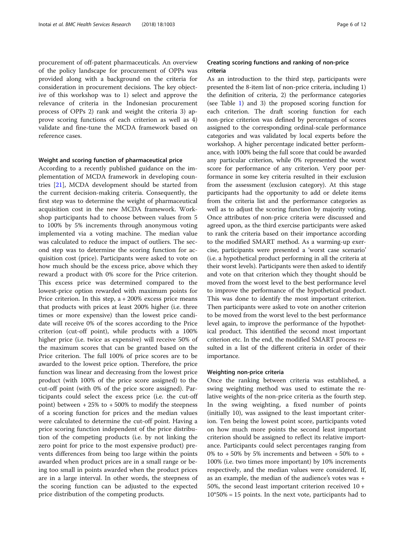procurement of off-patent pharmaceuticals. An overview of the policy landscape for procurement of OPPs was provided along with a background on the criteria for consideration in procurement decisions. The key objective of this workshop was to 1) select and approve the relevance of criteria in the Indonesian procurement process of OPPs 2) rank and weight the criteria 3) approve scoring functions of each criterion as well as 4) validate and fine-tune the MCDA framework based on reference cases.

#### Weight and scoring function of pharmaceutical price

According to a recently published guidance on the implementation of MCDA framework in developing countries [[21\]](#page-11-0), MCDA development should be started from the current decision-making criteria. Consequently, the first step was to determine the weight of pharmaceutical acquisition cost in the new MCDA framework. Workshop participants had to choose between values from 5 to 100% by 5% increments through anonymous voting implemented via a voting machine. The median value was calculated to reduce the impact of outliers. The second step was to determine the scoring function for acquisition cost (price). Participants were asked to vote on how much should be the excess price, above which they reward a product with 0% score for the Price criterion. This excess price was determined compared to the lowest-price option rewarded with maximum points for Price criterion. In this step,  $a + 200\%$  excess price means that products with prices at least 200% higher (i.e. three times or more expensive) than the lowest price candidate will receive 0% of the scores according to the Price criterion (cut-off point), while products with a 100% higher price (i.e. twice as expensive) will receive 50% of the maximum scores that can be granted based on the Price criterion. The full 100% of price scores are to be awarded to the lowest price option. Therefore, the price function was linear and decreasing from the lowest price product (with 100% of the price score assigned) to the cut-off point (with 0% of the price score assigned). Participants could select the excess price (i.e. the cut-off point) between  $+25\%$  to  $+500\%$  to modify the steepness of a scoring function for prices and the median values were calculated to determine the cut-off point. Having a price scoring function independent of the price distribution of the competing products (i.e. by not linking the zero point for price to the most expensive product) prevents differences from being too large within the points awarded when product prices are in a small range or being too small in points awarded when the product prices are in a large interval. In other words, the steepness of the scoring function can be adjusted to the expected price distribution of the competing products.

## Creating scoring functions and ranking of non-price criteria

As an introduction to the third step, participants were presented the 8-item list of non-price criteria, including 1) the definition of criteria, 2) the performance categories (see Table [1\)](#page-3-0) and 3) the proposed scoring function for each criterion. The draft scoring function for each non-price criterion was defined by percentages of scores assigned to the corresponding ordinal-scale performance categories and was validated by local experts before the workshop. A higher percentage indicated better performance, with 100% being the full score that could be awarded any particular criterion, while 0% represented the worst score for performance of any criterion. Very poor performance in some key criteria resulted in their exclusion from the assessment (exclusion category). At this stage participants had the opportunity to add or delete items from the criteria list and the performance categories as well as to adjust the scoring function by majority voting. Once attributes of non-price criteria were discussed and agreed upon, as the third exercise participants were asked to rank the criteria based on their importance according to the modified SMART method. As a warming-up exercise, participants were presented a 'worst case scenario' (i.e. a hypothetical product performing in all the criteria at their worst levels). Participants were then asked to identify and vote on that criterion which they thought should be moved from the worst level to the best performance level to improve the performance of the hypothetical product. This was done to identify the most important criterion. Then participants were asked to vote on another criterion to be moved from the worst level to the best performance level again, to improve the performance of the hypothetical product. This identified the second most important criterion etc. In the end, the modified SMART process resulted in a list of the different criteria in order of their importance.

## Weighting non-price criteria

Once the ranking between criteria was established, a swing weighting method was used to estimate the relative weights of the non-price criteria as the fourth step. In the swing weighting, a fixed number of points (initially 10), was assigned to the least important criterion. Ten being the lowest point score, participants voted on how much more points the second least important criterion should be assigned to reflect its relative importance. Participants could select percentages ranging from 0% to  $+50\%$  by 5% increments and between  $+50\%$  to  $+$ 100% (i.e. two times more important) by 10% increments respectively, and the median values were considered. If, as an example, the median of the audience's votes was + 50%, the second least important criterion received 10 + 10\*50% = 15 points. In the next vote, participants had to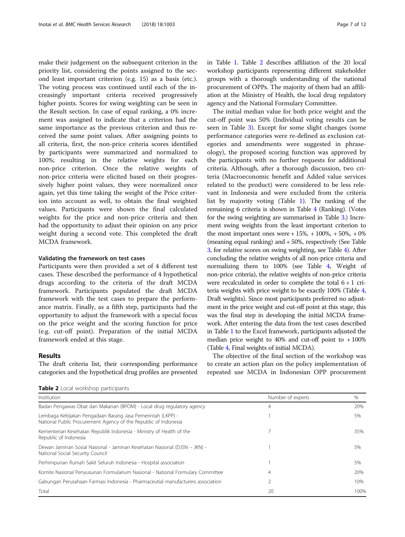make their judgement on the subsequent criterion in the priority list, considering the points assigned to the second least important criterion (e.g. 15) as a basis (etc.). The voting process was continued until each of the increasingly important criteria received progressively higher points. Scores for swing weighting can be seen in the Result section. In case of equal ranking, a 0% increment was assigned to indicate that a criterion had the same importance as the previous criterion and thus received the same point values. After assigning points to all criteria, first, the non-price criteria scores identified by participants were summarized and normalized to 100%; resulting in the relative weights for each non-price criterion. Once the relative weights of non-price criteria were elicited based on their progressively higher point values, they were normalized once again, yet this time taking the weight of the Price criterion into account as well, to obtain the final weighted values. Participants were shown the final calculated weights for the price and non-price criteria and then had the opportunity to adjust their opinion on any price weight during a second vote. This completed the draft MCDA framework.

## Validating the framework on test cases

Participants were then provided a set of 4 different test cases. These described the performance of 4 hypothetical drugs according to the criteria of the draft MCDA framework. Participants populated the draft MCDA framework with the test cases to prepare the performance matrix. Finally, as a fifth step, participants had the opportunity to adjust the framework with a special focus on the price weight and the scoring function for price (e.g. cut-off point). Preparation of the initial MCDA framework ended at this stage.

## Results

The draft criteria list, their corresponding performance categories and the hypothetical drug profiles are presented

in Table [1.](#page-3-0) Table 2 describes affiliation of the 20 local workshop participants representing different stakeholder groups with a thorough understanding of the national procurement of OPPs. The majority of them had an affiliation at the Ministry of Health, the local drug regulatory agency and the National Formulary Committee.

The initial median value for both price weight and the cut-off point was 50% (Individual voting results can be seen in Table [3\)](#page-7-0). Except for some slight changes (some performance categories were re-defined as exclusion categories and amendments were suggested in phraseology), the proposed scoring function was approved by the participants with no further requests for additional criteria. Although, after a thorough discussion, two criteria (Macroeconomic benefit and Added value services related to the product) were considered to be less relevant in Indonesia and were excluded from the criteria list by majority voting (Table [1](#page-3-0)). The ranking of the remaining 6 criteria is shown in Table [4](#page-8-0) (Ranking). (Votes for the swing weighting are summarised in Table [3.](#page-7-0)) Increment swing weights from the least important criterion to the most important ones were  $+ 15\%, + 100\%, + 50\%, + 0\%$ (meaning equal ranking) and + 50%, respectively (See Table [3](#page-7-0), for relative scores on swing weighting, see Table [4](#page-8-0)). After concluding the relative weights of all non-price criteria and normalizing them to 100% (see Table [4](#page-8-0), Weight of non-price criteria), the relative weights of non-price criteria were recalculated in order to complete the total  $6 + 1$  criteria weights with price weight to be exactly 100% (Table [4](#page-8-0), Draft weights). Since most participants preferred no adjustment in the price weight and cut-off point at this stage, this was the final step in developing the initial MCDA framework. After entering the data from the test cases described in Table [1](#page-3-0) to the Excel framework, participants adjusted the median price weight to  $40\%$  and cut-off point to  $+100\%$ (Table [4](#page-8-0), Final weights of initial MCDA).

The objective of the final section of the workshop was to create an action plan on the policy implementation of repeated use MCDA in Indonesian OPP procurement

Table 2 Local workshop participants

| Institution                                                                                                                    | Number of experts | $\%$ |
|--------------------------------------------------------------------------------------------------------------------------------|-------------------|------|
| Badan Pengawas Obat dan Makanan (BPOM) - Local drug regulatory agency                                                          | 4                 | 20%  |
| Lembaga Kebijakan Pengadaan Barang Jasa Pemerintah (LKPP) -<br>National Public Procurement Agency of the Republic of Indonesia |                   | 5%   |
| Kementerian Kesehatan Republik Indonesia - Ministry of Health of the<br>Republic of Indonesia                                  |                   | 35%  |
| Dewan Jaminan Sosial Nasional - Jaminan Kesehatan Nasional (DJSN – JKN) -<br>National Social Security Council                  |                   | 5%   |
| Perhimpunan Rumah Sakit Seluruh Indonesia - Hospital association                                                               |                   | 5%   |
| Komite Nasional Penyusunan Formularium Nasional - National Formulary Committee                                                 | 4                 | 20%  |
| Gabungan Perusahaan Farmasi Indonesia - Pharmaceutial manufacturers association                                                |                   | 10%  |
| Total                                                                                                                          | 20                | 100% |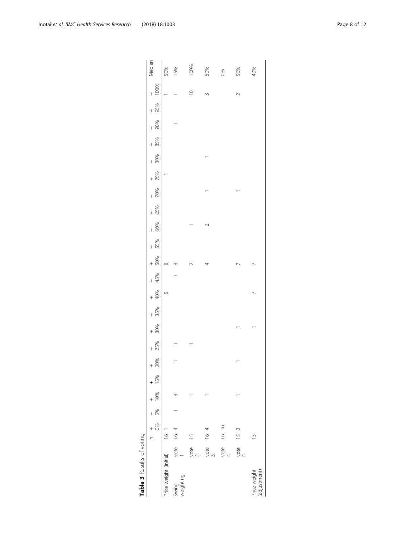| ١      |
|--------|
|        |
|        |
|        |
|        |
|        |
| ١      |
|        |
| ֬֘֝    |
|        |
|        |
|        |
| ı      |
| 1<br>r |
|        |
|        |
|        |
|        |
| í      |
| ٠      |

<span id="page-7-0"></span>

| Median<br>50%<br>15%<br>40%<br>50%<br>50%<br>0%<br>100%<br>3<br>$\sim$<br>95%<br>$^{+}$<br>90%<br>85%<br>$\ddot{}$<br>80%<br>75%<br>70%<br>$^{+}$<br>65%<br>$^{+}$<br>60%<br>$\ddot{}$<br>55%<br>50%<br>$\infty$<br>45%<br>40%<br>35%<br>30%<br>25%<br>20%<br>15%<br>0% 5% 10% | $+$ | Price weight (initial) 16 1 | $\frac{1}{1}$ 16 4<br>weighting<br>Swing | vote $15$<br>2 | $\frac{16}{3}$ 16 4 | vote 16 16<br>$\overline{4}$ | vote 15<br>$\overline{5}$ | $\overline{1}$<br>Price weight |
|--------------------------------------------------------------------------------------------------------------------------------------------------------------------------------------------------------------------------------------------------------------------------------|-----|-----------------------------|------------------------------------------|----------------|---------------------|------------------------------|---------------------------|--------------------------------|
|                                                                                                                                                                                                                                                                                |     |                             |                                          |                |                     |                              |                           |                                |
|                                                                                                                                                                                                                                                                                |     |                             |                                          |                |                     |                              |                           |                                |
|                                                                                                                                                                                                                                                                                |     |                             |                                          |                |                     |                              |                           |                                |
|                                                                                                                                                                                                                                                                                |     |                             |                                          |                |                     |                              |                           |                                |
|                                                                                                                                                                                                                                                                                |     |                             |                                          |                |                     |                              |                           |                                |
|                                                                                                                                                                                                                                                                                |     |                             |                                          |                |                     |                              |                           |                                |
|                                                                                                                                                                                                                                                                                |     |                             |                                          |                |                     |                              |                           |                                |
|                                                                                                                                                                                                                                                                                |     |                             |                                          |                |                     |                              |                           |                                |
|                                                                                                                                                                                                                                                                                |     |                             |                                          |                |                     |                              |                           |                                |
|                                                                                                                                                                                                                                                                                |     |                             |                                          |                |                     |                              |                           |                                |
|                                                                                                                                                                                                                                                                                |     |                             |                                          |                |                     |                              |                           |                                |
|                                                                                                                                                                                                                                                                                |     |                             |                                          |                |                     |                              |                           |                                |
|                                                                                                                                                                                                                                                                                |     |                             |                                          |                |                     |                              |                           |                                |
|                                                                                                                                                                                                                                                                                |     |                             |                                          |                |                     |                              |                           |                                |
|                                                                                                                                                                                                                                                                                |     |                             |                                          |                |                     |                              |                           |                                |
|                                                                                                                                                                                                                                                                                |     |                             |                                          |                |                     |                              |                           |                                |
|                                                                                                                                                                                                                                                                                |     |                             |                                          |                |                     |                              |                           |                                |
|                                                                                                                                                                                                                                                                                |     |                             |                                          |                |                     |                              |                           |                                |
|                                                                                                                                                                                                                                                                                |     |                             |                                          |                |                     |                              |                           |                                |
|                                                                                                                                                                                                                                                                                |     |                             |                                          |                |                     |                              |                           |                                |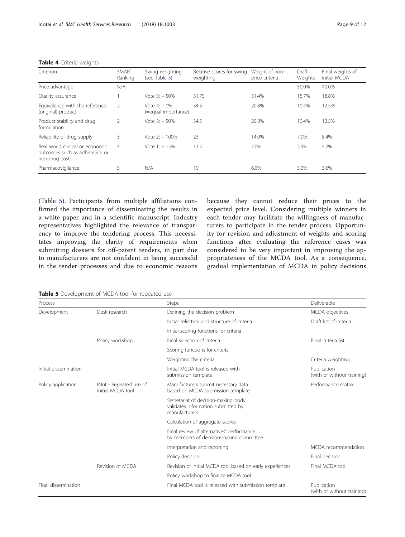| Criterion                                                                          | SMART<br>Ranking | Swing weighting<br>(see Table 3)      | Relative scores for swing<br>weighting | Weight of non-<br>price criteria | Draft<br>Weights | Final weights of<br>initial MCDA |
|------------------------------------------------------------------------------------|------------------|---------------------------------------|----------------------------------------|----------------------------------|------------------|----------------------------------|
| Price advantage                                                                    | N/A              |                                       |                                        |                                  | 50.0%            | 40.0%                            |
| Quality assurance                                                                  |                  | Vote $5: +50\%$                       | 51.75                                  | 31.4%                            | 15.7%            | 18.8%                            |
| Equivalence with the reference<br>(original) product                               | 2                | Vote $4: +0\%$<br>(=equal importance) | 34.5                                   | 20.8%                            | 10.4%            | 12.5%                            |
| Product stability and drug<br>formulation                                          | 2                | Vote $3: +50\%$                       | 34.5                                   | 20.8%                            | 10.4%            | 12.5%                            |
| Reliability of drug supply                                                         | 3                | Vote $2: +100\%$                      | 23                                     | 14.0%                            | 7.0%             | 8.4%                             |
| Real world clinical or economic<br>outcomes such as adherence or<br>non-drug costs | $\overline{4}$   | Vote $1: + 15\%$                      | 11.5                                   | 7.0%                             | 3.5%             | 4.2%                             |
| Pharmacovigilance                                                                  | 5                | N/A                                   | 10                                     | 6.0%                             | 3.0%             | 3.6%                             |

## <span id="page-8-0"></span>Table 4 Criteria weights

(Table 5). Participants from multiple affiliations confirmed the importance of disseminating the results in a white paper and in a scientific manuscript. Industry representatives highlighted the relevance of transparency to improve the tendering process. This necessitates improving the clarity of requirements when submitting dossiers for off-patent tenders, in part due to manufacturers are not confident in being successful in the tender processes and due to economic reasons

because they cannot reduce their prices to the expected price level. Considering multiple winners in each tender may facilitate the willingness of manufacturers to participate in the tender process. Opportunity for revision and adjustment of weights and scoring functions after evaluating the reference cases was considered to be very important in improving the appropriateness of the MCDA tool. As a consequence, gradual implementation of MCDA in policy decisions

Table 5 Development of MCDA tool for repeated use

| Process               |                                              | Steps                                                                                      | Deliverable                               |
|-----------------------|----------------------------------------------|--------------------------------------------------------------------------------------------|-------------------------------------------|
| Development           | Desk research                                | Defining the decision problem                                                              | MCDA objectives                           |
|                       |                                              | Initial selection and structure of criteria                                                | Draft list of criteria                    |
|                       |                                              | Initial scoring functions for criteria                                                     |                                           |
|                       | Policy workshop                              | Final selection of criteria                                                                | Final criteria list                       |
|                       |                                              | Scoring functions for criteria                                                             |                                           |
|                       |                                              | Weighting the criteria                                                                     | Criteria weighting                        |
| Initial dissemination |                                              | Initial MCDA tool is released with<br>submission template                                  | Publication<br>(with or without training) |
| Policy application    | Pilot - Repeated use of<br>initial MCDA tool | Manufacturers submit necessary data<br>based on MCDA submission template                   | Performance matrix                        |
|                       |                                              | Secretariat of decision-making body<br>validates information submitted by<br>manufacturers |                                           |
|                       |                                              | Calculation of aggregate scores                                                            |                                           |
|                       |                                              | Final review of alternatives' performance<br>by members of decision-making committee       |                                           |
|                       |                                              | Interpretation and reporting                                                               | MCDA recommendation                       |
|                       |                                              | Policy decision                                                                            | Final decision                            |
|                       | Revision of MCDA                             | Revision of initial MCDA tool based on early experiences                                   | Final MCDA tool                           |
|                       |                                              | Policy workshop to finalize MCDA tool                                                      |                                           |
| Final dissemination   |                                              | Final MCDA tool is released with submission template                                       | Publication<br>(with or without training) |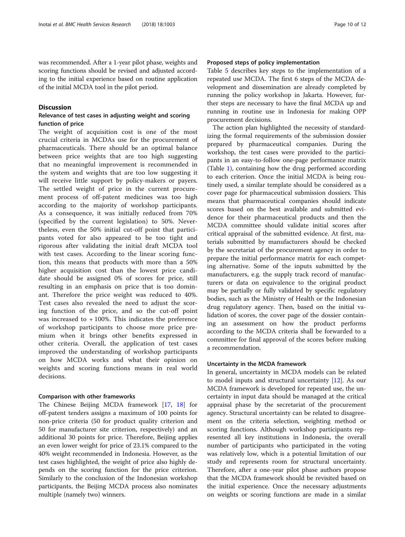was recommended. After a 1-year pilot phase, weights and scoring functions should be revised and adjusted according to the initial experience based on routine application of the initial MCDA tool in the pilot period.

## **Discussion**

## Relevance of test cases in adjusting weight and scoring function of price

The weight of acquisition cost is one of the most crucial criteria in MCDAs use for the procurement of pharmaceuticals. There should be an optimal balance between price weights that are too high suggesting that no meaningful improvement is recommended in the system and weights that are too low suggesting it will receive little support by policy-makers or payers. The settled weight of price in the current procurement process of off-patent medicines was too high according to the majority of workshop participants. As a consequence, it was initially reduced from 70% (specified by the current legislation) to 50%. Nevertheless, even the 50% initial cut-off point that participants voted for also appeared to be too tight and rigorous after validating the initial draft MCDA tool with test cases. According to the linear scoring function, this means that products with more than a 50% higher acquisition cost than the lowest price candidate should be assigned 0% of scores for price, still resulting in an emphasis on price that is too dominant. Therefore the price weight was reduced to 40%. Test cases also revealed the need to adjust the scoring function of the price, and so the cut-off point was increased to  $+100\%$ . This indicates the preference of workshop participants to choose more price premium when it brings other benefits expressed in other criteria. Overall, the application of test cases improved the understanding of workshop participants on how MCDA works and what their opinion on weights and scoring functions means in real world decisions.

## Comparison with other frameworks

The Chinese Beijing MCDA framework [\[17](#page-11-0), [18](#page-11-0)] for off-patent tenders assigns a maximum of 100 points for non-price criteria (50 for product quality criterion and 50 for manufacturer site criterion, respectively) and an additional 30 points for price. Therefore, Beijing applies an even lower weight for price of 23.1% compared to the 40% weight recommended in Indonesia. However, as the test cases highlighted, the weight of price also highly depends on the scoring function for the price criterion. Similarly to the conclusion of the Indonesian workshop participants, the Beijing MCDA process also nominates multiple (namely two) winners.

## Proposed steps of policy implementation

Table [5](#page-8-0) describes key steps to the implementation of a repeated use MCDA. The first 6 steps of the MCDA development and dissemination are already completed by running the policy workshop in Jakarta. However, further steps are necessary to have the final MCDA up and running in routine use in Indonesia for making OPP procurement decisions.

The action plan highlighted the necessity of standardizing the formal requirements of the submission dossier prepared by pharmaceutical companies. During the workshop, the test cases were provided to the participants in an easy-to-follow one-page performance matrix (Table [1](#page-3-0)), containing how the drug performed according to each criterion. Once the initial MCDA is being routinely used, a similar template should be considered as a cover page for pharmaceutical submission dossiers. This means that pharmaceutical companies should indicate scores based on the best available and submitted evidence for their pharmaceutical products and then the MCDA committee should validate initial scores after critical appraisal of the submitted evidence. At first, materials submitted by manufacturers should be checked by the secretariat of the procurement agency in order to prepare the initial performance matrix for each competing alternative. Some of the inputs submitted by the manufacturers, e.g. the supply track record of manufacturers or data on equivalence to the original product may be partially or fully validated by specific regulatory bodies, such as the Ministry of Health or the Indonesian drug regulatory agency. Then, based on the initial validation of scores, the cover page of the dossier containing an assessment on how the product performs according to the MCDA criteria shall be forwarded to a committee for final approval of the scores before making a recommendation.

## Uncertainty in the MCDA framework

In general, uncertainty in MCDA models can be related to model inputs and structural uncertainty [[12\]](#page-11-0). As our MCDA framework is developed for repeated use, the uncertainty in input data should be managed at the critical appraisal phase by the secretariat of the procurement agency. Structural uncertainty can be related to disagreement on the criteria selection, weighting method or scoring functions. Although workshop participants represented all key institutions in Indonesia, the overall number of participants who participated in the voting was relatively low, which is a potential limitation of our study and represents room for structural uncertainty. Therefore, after a one-year pilot phase authors propose that the MCDA framework should be revisited based on the initial experience. Once the necessary adjustments on weights or scoring functions are made in a similar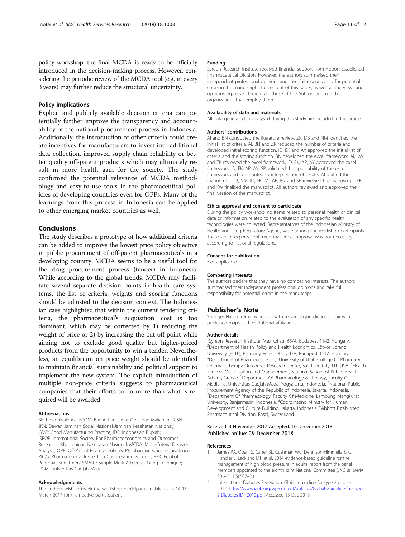<span id="page-10-0"></span>policy workshop, the final MCDA is ready to be officially introduced in the decision-making process. However, considering the periodic review of the MCDA tool (e.g. in every 3 years) may further reduce the structural uncertainty.

#### Policy implications

Explicit and publicly available decision criteria can potentially further improve the transparency and accountability of the national procurement process in Indonesia. Additionally, the introduction of other criteria could create incentives for manufacturers to invest into additional data collection, improved supply chain reliability or better quality off-patent products which may ultimately result in more health gain for the society. The study confirmed the potential relevance of MCDA methodology and easy-to-use tools in the pharmaceutical policies of developing countries even for OPPs. Many of the learnings from this process in Indonesia can be applied to other emerging market countries as well.

## Conclusions

The study describes a prototype of how additional criteria can be added to improve the lowest price policy objective in public procurement of off-patent pharmaceuticals in a developing country. MCDA seems to be a useful tool for the drug procurement process (tender) in Indonesia. While according to the global trends, MCDA may facilitate several separate decision points in health care systems, the list of criteria, weights and scoring functions should be adjusted to the decision context. The Indonesian case highlighted that within the current tendering criteria, the pharmaceutical's acquisition cost is too dominant, which may be corrected by 1) reducing the weight of price or 2) by increasing the cut-off point while aiming not to exclude good quality but higher-priced products from the opportunity to win a tender. Nevertheless, an equilibrium on price weight should be identified to maintain financial sustainability and political support to implement the new system. The explicit introduction of multiple non-price criteria suggests to pharmaceutical companies that their efforts to do more than what is required will be awarded.

#### Abbreviations

BE: bioequivalence; BPOM: Badan Pengawas Obat dan Makanan; DJSN– JKN: Dewan Jaminan Sosial Nasional-Jaminan Kesehatan Nasional; GMP: Good Manufacturing Practice; IDR: Indonesian Rupiah; ISPOR: International Society For Pharmacoeconomics and Outcomes Research; JKN: Jaminan Kesehatan Nasional; MCDA: Multi-Criteria Decision Analysis; OPP: Off-Patent Pharmaceuticals; PE: pharmaceutical equivalence; PIC/S: Pharmaceutical Inspection Co-operation Scheme; PPK: Pejabat Pembuat Komitmen; SMART: Simple Multi-Attribute Rating Technique; UGM: Universitas Gadjah Mada

#### Acknowledgements

The authors wish to thank the workshop participants in Jakarta, in 14-15 March 2017 for their active participation.

#### Funding

Syreon Research Institute received financial support from Abbott Established Pharmaceutical Division. However, the authors summarised their independent professional opinions and take full responsibility for potential errors in the manuscript. The content of this paper, as well as the views and opinions expressed therein are those of the Authors and not the organizations that employ them.

#### Availability of data and materials

All data generated or analysed during this study are included in this article.

#### Authors' contributions

AI and BN conducted the literature review, ZK, DB and NM identified the initial list of criteria. AI, BN and ZK reduced the number of criteria and developed initial scoring function, ID, EK and AY approved the initial list of criteria and the scoring function. BN developed the excel framework, AI, KW and ZK reviewed the excel framework, ID, EK, AP, AY approved the excel framework. ID, EK, AP, AY, SP validated the applicability of the excel framework and contributed to interpretation of results. AI drafted the manuscript. DB, NM, ID, EK, AY, AP, BN and SP reviewed the manuscript, ZK and KW finalised the manuscript. All authors reviewed and approved the final version of the manuscript.

#### Ethics approval and consent to participate

During the policy workshop, no items related to personal health or clinical data or information related to the evaluation of any specific health technologies were collected. Representatives of the Indonesian Ministry of Health and Drug Regulatory Agency were among the workshop participants. These senior experts confirmed that ethics approval was not necessary according to national regulations.

#### Consent for publication

Not applicable.

## Competing interests

The authors declare that they have no competing interests. The authors summarised their independent professional opinions and take full responsibility for potential errors in the manuscript.

#### Publisher's Note

Springer Nature remains neutral with regard to jurisdictional claims in published maps and institutional affiliations.

#### Author details

<sup>1</sup> Syreon Research Institute, Mexikói str. 65/A, Budapest 1142, Hungary. 2 Department of Health Policy and Health Economics, Eötvös Loránd University (ELTE), Pázmány Péter sétány 1/A, Budapest 1117, Hungary. <sup>3</sup>Department of Pharmacotherapy, University of Utah College Of Pharmacy Pharmacotherapy Outcomes Research Center, Salt Lake City, UT, USA. <sup>4</sup>Health Services Organization and Management, National School of Public Health, Athens, Greece. <sup>5</sup>Department Of Pharmacology & Therapy, Faculty Of Medicine, Universitas Gadjah Mada, Yogyakarta, Indonesia. <sup>6</sup>National Public Procurement Agency of the Republic of Indonesia, Jakarta, Indonesia. 7 Department Of Pharmacology, Faculty Of Medicine, Lambung Mangkurat University, Banjarmasin, Indonesia. <sup>8</sup>Coordinating Ministry for Human Development and Culture Building, Jakarta, Indonesia. <sup>9</sup>Abbott Established Pharmaceutical Division, Basel, Switzerland.

#### Received: 3 November 2017 Accepted: 10 December 2018 Published online: 29 December 2018

#### References

- 1. James PA, Oparil S, Carter BL, Cushman WC, Dennison-Himmelfarb C, Handler J, Lackland DT, et al. 2014 evidence-based guideline for the management of high blood pressure in adults: report from the panel members appointed to the eighth joint National Committee (JNC 8). JAMA. 2014;311(5):507–20.
- International Diabetes Federation. Global guideline for type 2 diabetes. 2012. [https://www.iapb.org/wp-content/uploads/Global-Guideline-for-Type-](https://www.iapb.org/wp-content/uploads/Global-Guideline-for-Type-2-Diabetes-IDF-2012.pdf)[2-Diabetes-IDF-2012.pdf.](https://www.iapb.org/wp-content/uploads/Global-Guideline-for-Type-2-Diabetes-IDF-2012.pdf) Accessed 13 Dec 2018.